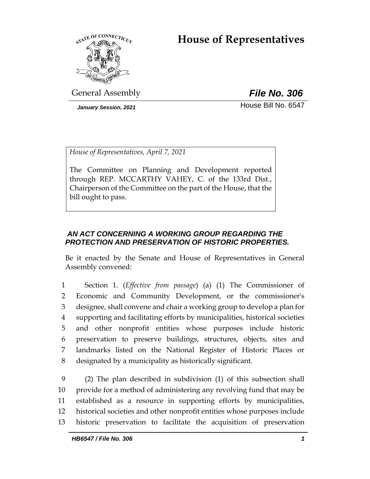# **House of Representatives**



General Assembly *File No. 306*

*January Session, 2021* **House Bill No. 6547** 

*House of Representatives, April 7, 2021*

The Committee on Planning and Development reported through REP. MCCARTHY VAHEY, C. of the 133rd Dist., Chairperson of the Committee on the part of the House, that the bill ought to pass.

## *AN ACT CONCERNING A WORKING GROUP REGARDING THE PROTECTION AND PRESERVATION OF HISTORIC PROPERTIES.*

Be it enacted by the Senate and House of Representatives in General Assembly convened:

 Section 1. (*Effective from passage*) (a) (1) The Commissioner of Economic and Community Development, or the commissioner's designee, shall convene and chair a working group to develop a plan for supporting and facilitating efforts by municipalities, historical societies and other nonprofit entities whose purposes include historic preservation to preserve buildings, structures, objects, sites and landmarks listed on the National Register of Historic Places or designated by a municipality as historically significant.

 (2) The plan described in subdivision (1) of this subsection shall provide for a method of administering any revolving fund that may be established as a resource in supporting efforts by municipalities, historical societies and other nonprofit entities whose purposes include historic preservation to facilitate the acquisition of preservation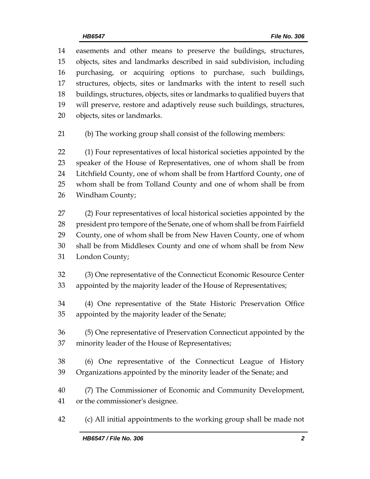easements and other means to preserve the buildings, structures, objects, sites and landmarks described in said subdivision, including purchasing, or acquiring options to purchase, such buildings, structures, objects, sites or landmarks with the intent to resell such buildings, structures, objects, sites or landmarks to qualified buyers that will preserve, restore and adaptively reuse such buildings, structures, objects, sites or landmarks.

(b) The working group shall consist of the following members:

 (1) Four representatives of local historical societies appointed by the speaker of the House of Representatives, one of whom shall be from Litchfield County, one of whom shall be from Hartford County, one of whom shall be from Tolland County and one of whom shall be from Windham County;

 (2) Four representatives of local historical societies appointed by the president pro tempore of the Senate, one of whom shall be from Fairfield County, one of whom shall be from New Haven County, one of whom shall be from Middlesex County and one of whom shall be from New London County;

 (3) One representative of the Connecticut Economic Resource Center appointed by the majority leader of the House of Representatives;

 (4) One representative of the State Historic Preservation Office appointed by the majority leader of the Senate;

 (5) One representative of Preservation Connecticut appointed by the minority leader of the House of Representatives;

 (6) One representative of the Connecticut League of History Organizations appointed by the minority leader of the Senate; and

 (7) The Commissioner of Economic and Community Development, or the commissioner's designee.

(c) All initial appointments to the working group shall be made not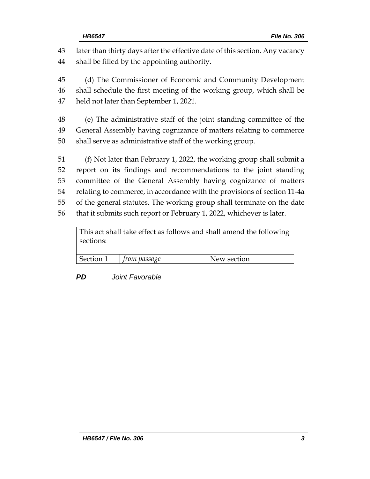later than thirty days after the effective date of this section. Any vacancy shall be filled by the appointing authority. (d) The Commissioner of Economic and Community Development shall schedule the first meeting of the working group, which shall be held not later than September 1, 2021. (e) The administrative staff of the joint standing committee of the General Assembly having cognizance of matters relating to commerce shall serve as administrative staff of the working group. (f) Not later than February 1, 2022, the working group shall submit a report on its findings and recommendations to the joint standing committee of the General Assembly having cognizance of matters relating to commerce, in accordance with the provisions of section 11-4a of the general statutes. The working group shall terminate on the date that it submits such report or February 1, 2022, whichever is later.

This act shall take effect as follows and shall amend the following sections:

| l Section 1 | <i>from passage</i> | New section |
|-------------|---------------------|-------------|
|             |                     |             |

## *PD Joint Favorable*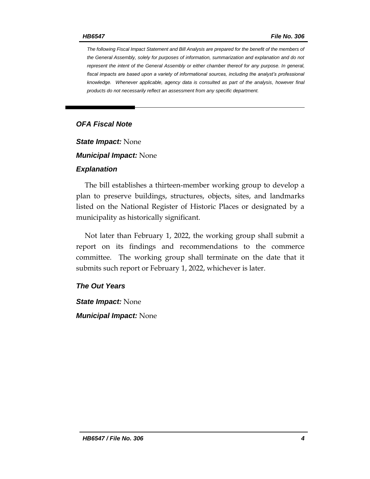*The following Fiscal Impact Statement and Bill Analysis are prepared for the benefit of the members of the General Assembly, solely for purposes of information, summarization and explanation and do not represent the intent of the General Assembly or either chamber thereof for any purpose. In general,*  fiscal impacts are based upon a variety of informational sources, including the analyst's professional *knowledge. Whenever applicable, agency data is consulted as part of the analysis, however final products do not necessarily reflect an assessment from any specific department.*

## *OFA Fiscal Note*

*State Impact:* None

*Municipal Impact:* None

#### *Explanation*

The bill establishes a thirteen-member working group to develop a plan to preserve buildings, structures, objects, sites, and landmarks listed on the National Register of Historic Places or designated by a municipality as historically significant.

Not later than February 1, 2022, the working group shall submit a report on its findings and recommendations to the commerce committee. The working group shall terminate on the date that it submits such report or February 1, 2022, whichever is later.

#### *The Out Years*

*State Impact:* None *Municipal Impact:* None